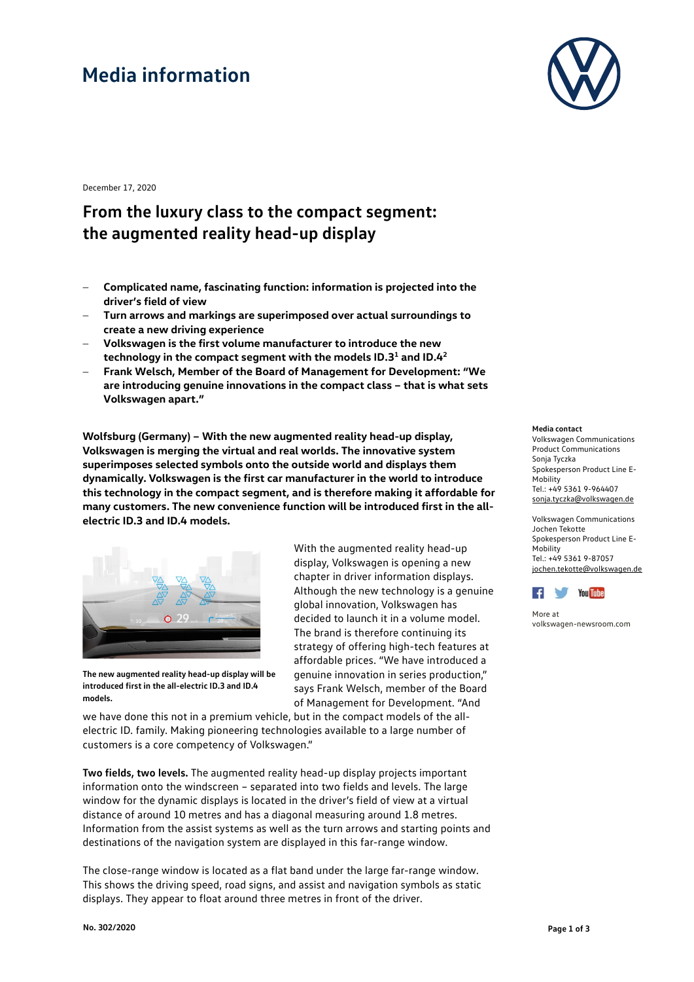# **Media information**



December 17, 2020

### **From the luxury class to the compact segment: the augmented reality head-up display**

- − **Complicated name, fascinating function: information is projected into the driver's field of view**
- − **Turn arrows and markings are superimposed over actual surroundings to create a new driving experience**
- − **Volkswagen is the first volume manufacturer to introduce the new technology in the compact segment with the models ID.31 and ID.42**
- − **Frank Welsch, Member of the Board of Management for Development: "We are introducing genuine innovations in the compact class – that is what sets Volkswagen apart."**

**Wolfsburg (Germany) – With the new augmented reality head-up display, Volkswagen is merging the virtual and real worlds. The innovative system superimposes selected symbols onto the outside world and displays them dynamically. Volkswagen is the first car manufacturer in the world to introduce this technology in the compact segment, and is therefore making it affordable for many customers. The new convenience function will be introduced first in the allelectric ID.3 and ID.4 models.**



**The new augmented reality head-up display will be introduced first in the all-electric ID.3 and ID.4 models.**

With the augmented reality head-up display, Volkswagen is opening a new chapter in driver information displays. Although the new technology is a genuine global innovation, Volkswagen has decided to launch it in a volume model. The brand is therefore continuing its strategy of offering high-tech features at affordable prices. "We have introduced a genuine innovation in series production," says Frank Welsch, member of the Board of Management for Development. "And

we have done this not in a premium vehicle, but in the compact models of the allelectric ID. family. Making pioneering technologies available to a large number of customers is a core competency of Volkswagen."

**Two fields, two levels.** The augmented reality head-up display projects important information onto the windscreen – separated into two fields and levels. The large window for the dynamic displays is located in the driver's field of view at a virtual distance of around 10 metres and has a diagonal measuring around 1.8 metres. Information from the assist systems as well as the turn arrows and starting points and destinations of the navigation system are displayed in this far-range window.

The close-range window is located as a flat band under the large far-range window. This shows the driving speed, road signs, and assist and navigation symbols as static displays. They appear to float around three metres in front of the driver.

### **Media contact**

Volkswagen Communications Product Communications Sonja Tyczka Spokesperson Product Line E-Mobility Tel.: +49 5361 9-964407 [sonja.tyczka@volkswagen.de](mailto:sonja.tyczka@volkswagen.de)

Volkswagen Communications Jochen Tekotte Spokesperson Product Line E-Mobility Tel.: +49 5361 9-87057 [jochen.tekotte@volkswagen.de](mailto:jochen.tekotte@volkswagen.de)



More at [volkswagen-newsroom.com](https://www.volkswagen-media-services.com/)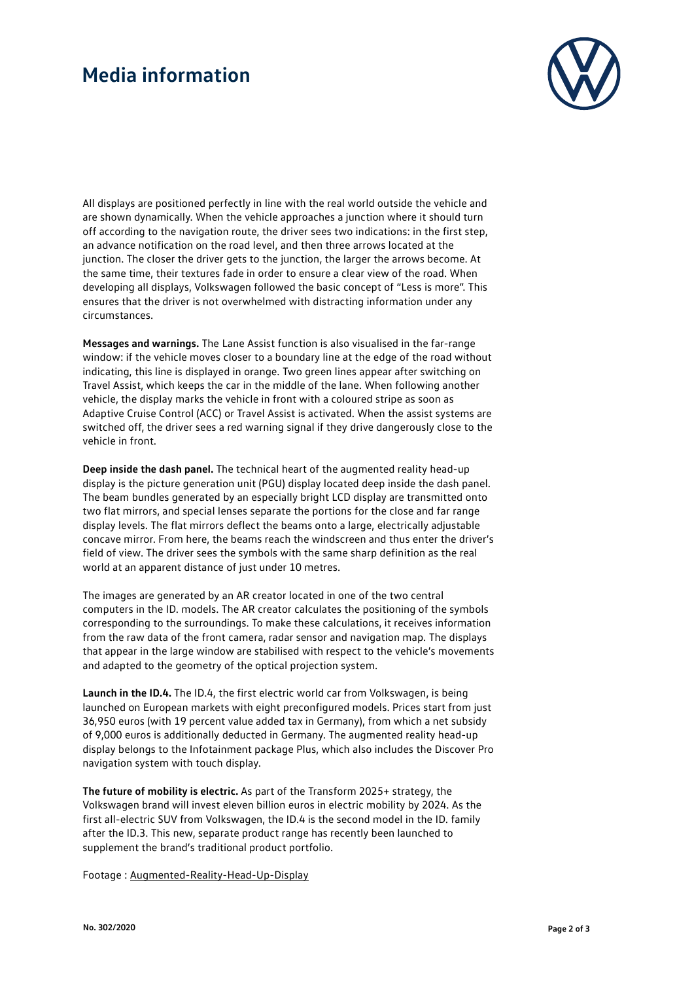## **Media information**



All displays are positioned perfectly in line with the real world outside the vehicle and are shown dynamically. When the vehicle approaches a junction where it should turn off according to the navigation route, the driver sees two indications: in the first step, an advance notification on the road level, and then three arrows located at the junction. The closer the driver gets to the junction, the larger the arrows become. At the same time, their textures fade in order to ensure a clear view of the road. When developing all displays, Volkswagen followed the basic concept of "Less is more". This ensures that the driver is not overwhelmed with distracting information under any circumstances.

**Messages and warnings.** The Lane Assist function is also visualised in the far-range window: if the vehicle moves closer to a boundary line at the edge of the road without indicating, this line is displayed in orange. Two green lines appear after switching on Travel Assist, which keeps the car in the middle of the lane. When following another vehicle, the display marks the vehicle in front with a coloured stripe as soon as Adaptive Cruise Control (ACC) or Travel Assist is activated. When the assist systems are switched off, the driver sees a red warning signal if they drive dangerously close to the vehicle in front.

**Deep inside the dash panel.** The technical heart of the augmented reality head-up display is the picture generation unit (PGU) display located deep inside the dash panel. The beam bundles generated by an especially bright LCD display are transmitted onto two flat mirrors, and special lenses separate the portions for the close and far range display levels. The flat mirrors deflect the beams onto a large, electrically adjustable concave mirror. From here, the beams reach the windscreen and thus enter the driver's field of view. The driver sees the symbols with the same sharp definition as the real world at an apparent distance of just under 10 metres.

The images are generated by an AR creator located in one of the two central computers in the ID. models. The AR creator calculates the positioning of the symbols corresponding to the surroundings. To make these calculations, it receives information from the raw data of the front camera, radar sensor and navigation map. The displays that appear in the large window are stabilised with respect to the vehicle's movements and adapted to the geometry of the optical projection system.

**Launch in the ID.4.** The ID.4, the first electric world car from Volkswagen, is being launched on European markets with eight preconfigured models. Prices start from just 36,950 euros (with 19 percent value added tax in Germany), from which a net subsidy of 9,000 euros is additionally deducted in Germany. The augmented reality head-up display belongs to the Infotainment package Plus, which also includes the Discover Pro navigation system with touch display.

**The future of mobility is electric.** As part of the Transform 2025+ strategy, the Volkswagen brand will invest eleven billion euros in electric mobility by 2024. As the first all-electric SUV from Volkswagen, the ID.4 is the second model in the ID. family after the ID.3. This new, separate product range has recently been launched to supplement the brand's traditional product portfolio.

Footage [: Augmented-Reality-Head-Up-Display](https://www.volkswagen-newsroom.com/en/search?query=Augmented+Reality&type=footage&utf8=%E2%9C%93)